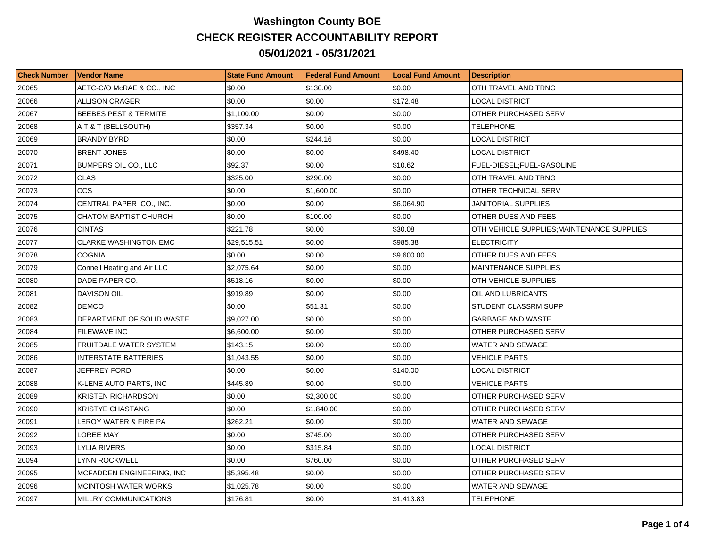## **Washington County BOE CHECK REGISTER ACCOUNTABILITY REPORT 05/01/2021 - 05/31/2021**

| <b>Check Number</b> | l Vendor Name                    | <b>State Fund Amount</b> | l Federal Fund Amount | <b>Local Fund Amount</b> | <b>Description</b>                         |
|---------------------|----------------------------------|--------------------------|-----------------------|--------------------------|--------------------------------------------|
| 20065               | AETC-C/O McRAE & CO., INC        | \$0.00                   | \$130.00              | \$0.00                   | OTH TRAVEL AND TRNG                        |
| 20066               | <b>ALLISON CRAGER</b>            | \$0.00                   | \$0.00                | \$172.48                 | <b>LOCAL DISTRICT</b>                      |
| 20067               | <b>BEEBES PEST &amp; TERMITE</b> | \$1,100.00               | \$0.00                | \$0.00                   | OTHER PURCHASED SERV                       |
| 20068               | A T & T (BELLSOUTH)              | \$357.34                 | \$0.00                | \$0.00                   | <b>TELEPHONE</b>                           |
| 20069               | <b>BRANDY BYRD</b>               | \$0.00                   | \$244.16              | \$0.00                   | LOCAL DISTRICT                             |
| 20070               | <b>BRENT JONES</b>               | \$0.00                   | \$0.00                | \$498.40                 | LOCAL DISTRICT                             |
| 20071               | BUMPERS OIL CO., LLC             | \$92.37                  | \$0.00                | \$10.62                  | FUEL-DIESEL;FUEL-GASOLINE                  |
| 20072               | <b>CLAS</b>                      | \$325.00                 | \$290.00              | \$0.00                   | OTH TRAVEL AND TRNG                        |
| 20073               | <b>CCS</b>                       | \$0.00                   | \$1,600.00            | \$0.00                   | OTHER TECHNICAL SERV                       |
| 20074               | CENTRAL PAPER CO., INC.          | \$0.00                   | \$0.00                | \$6,064.90               | JANITORIAL SUPPLIES                        |
| 20075               | CHATOM BAPTIST CHURCH            | \$0.00                   | \$100.00              | \$0.00                   | OTHER DUES AND FEES                        |
| 20076               | <b>CINTAS</b>                    | \$221.78                 | \$0.00                | \$30.08                  | OTH VEHICLE SUPPLIES; MAINTENANCE SUPPLIES |
| 20077               | <b>CLARKE WASHINGTON EMC</b>     | \$29,515.51              | \$0.00                | \$985.38                 | <b>ELECTRICITY</b>                         |
| 20078               | <b>COGNIA</b>                    | \$0.00                   | \$0.00                | \$9,600.00               | OTHER DUES AND FEES                        |
| 20079               | Connell Heating and Air LLC      | \$2,075.64               | \$0.00                | \$0.00                   | <b>MAINTENANCE SUPPLIES</b>                |
| 20080               | DADE PAPER CO.                   | \$518.16                 | \$0.00                | \$0.00                   | OTH VEHICLE SUPPLIES                       |
| 20081               | <b>DAVISON OIL</b>               | \$919.89                 | \$0.00                | \$0.00                   | OIL AND LUBRICANTS                         |
| 20082               | DEMCO                            | \$0.00                   | \$51.31               | \$0.00                   | STUDENT CLASSRM SUPP                       |
| 20083               | DEPARTMENT OF SOLID WASTE        | \$9,027.00               | \$0.00                | \$0.00                   | <b>GARBAGE AND WASTE</b>                   |
| 20084               | <b>FILEWAVE INC</b>              | \$6,600.00               | \$0.00                | \$0.00                   | OTHER PURCHASED SERV                       |
| 20085               | FRUITDALE WATER SYSTEM           | \$143.15                 | \$0.00                | \$0.00                   | <b>WATER AND SEWAGE</b>                    |
| 20086               | INTERSTATE BATTERIES             | \$1,043.55               | \$0.00                | \$0.00                   | <b>VEHICLE PARTS</b>                       |
| 20087               | <b>JEFFREY FORD</b>              | \$0.00                   | \$0.00                | \$140.00                 | LOCAL DISTRICT                             |
| 20088               | K-LENE AUTO PARTS, INC           | \$445.89                 | \$0.00                | \$0.00                   | <b>VEHICLE PARTS</b>                       |
| 20089               | <b>KRISTEN RICHARDSON</b>        | \$0.00                   | \$2,300.00            | \$0.00                   | OTHER PURCHASED SERV                       |
| 20090               | KRISTYE CHASTANG                 | \$0.00                   | \$1,840.00            | \$0.00                   | OTHER PURCHASED SERV                       |
| 20091               | LEROY WATER & FIRE PA            | \$262.21                 | \$0.00                | \$0.00                   | WATER AND SEWAGE                           |
| 20092               | LOREE MAY                        | \$0.00                   | \$745.00              | \$0.00                   | OTHER PURCHASED SERV                       |
| 20093               | LYLIA RIVERS                     | \$0.00                   | \$315.84              | \$0.00                   | LOCAL DISTRICT                             |
| 20094               | <b>LYNN ROCKWELL</b>             | \$0.00                   | \$760.00              | \$0.00                   | OTHER PURCHASED SERV                       |
| 20095               | MCFADDEN ENGINEERING, INC        | \$5,395.48               | \$0.00                | \$0.00                   | OTHER PURCHASED SERV                       |
| 20096               | MCINTOSH WATER WORKS             | \$1,025.78               | \$0.00                | \$0.00                   | <b>WATER AND SEWAGE</b>                    |
| 20097               | MILLRY COMMUNICATIONS            | \$176.81                 | \$0.00                | \$1,413.83               | <b>TELEPHONE</b>                           |
|                     |                                  |                          |                       |                          |                                            |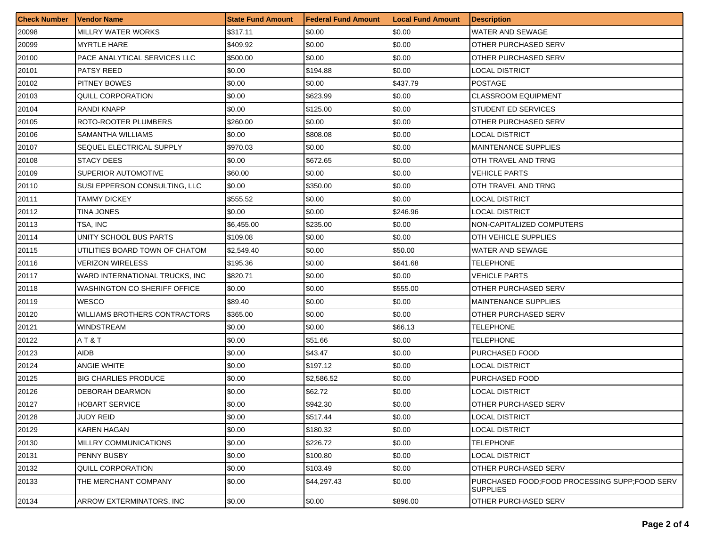| <b>Check Number</b> | <b>Vendor Name</b>                   | <b>State Fund Amount</b> | <b>Federal Fund Amount</b> | <b>Local Fund Amount</b> | <b>Description</b>                                               |
|---------------------|--------------------------------------|--------------------------|----------------------------|--------------------------|------------------------------------------------------------------|
| 20098               | <b>MILLRY WATER WORKS</b>            | \$317.11                 | \$0.00                     | \$0.00                   | WATER AND SEWAGE                                                 |
| 20099               | <b>MYRTLE HARE</b>                   | \$409.92                 | \$0.00                     | \$0.00                   | OTHER PURCHASED SERV                                             |
| 20100               | PACE ANALYTICAL SERVICES LLC         | \$500.00                 | \$0.00                     | \$0.00                   | OTHER PURCHASED SERV                                             |
| 20101               | PATSY REED                           | \$0.00                   | \$194.88                   | \$0.00                   | <b>LOCAL DISTRICT</b>                                            |
| 20102               | PITNEY BOWES                         | \$0.00                   | \$0.00                     | \$437.79                 | <b>POSTAGE</b>                                                   |
| 20103               | QUILL CORPORATION                    | \$0.00                   | \$623.99                   | \$0.00                   | <b>CLASSROOM EQUIPMENT</b>                                       |
| 20104               | RANDI KNAPP                          | \$0.00                   | \$125.00                   | \$0.00                   | <b>STUDENT ED SERVICES</b>                                       |
| 20105               | ROTO-ROOTER PLUMBERS                 | \$260.00                 | \$0.00                     | \$0.00                   | OTHER PURCHASED SERV                                             |
| 20106               | <b>SAMANTHA WILLIAMS</b>             | \$0.00                   | \$808.08                   | \$0.00                   | <b>LOCAL DISTRICT</b>                                            |
| 20107               | SEQUEL ELECTRICAL SUPPLY             | \$970.03                 | \$0.00                     | \$0.00                   | <b>MAINTENANCE SUPPLIES</b>                                      |
| 20108               | STACY DEES                           | \$0.00                   | \$672.65                   | \$0.00                   | OTH TRAVEL AND TRNG                                              |
| 20109               | SUPERIOR AUTOMOTIVE                  | \$60.00                  | \$0.00                     | \$0.00                   | VEHICLE PARTS                                                    |
| 20110               | SUSI EPPERSON CONSULTING, LLC        | \$0.00                   | \$350.00                   | \$0.00                   | OTH TRAVEL AND TRNG                                              |
| 20111               | TAMMY DICKEY                         | \$555.52                 | \$0.00                     | \$0.00                   | LOCAL DISTRICT                                                   |
| 20112               | TINA JONES                           | \$0.00                   | \$0.00                     | \$246.96                 | LOCAL DISTRICT                                                   |
| 20113               | TSA, INC                             | \$6,455.00               | \$235.00                   | \$0.00                   | NON-CAPITALIZED COMPUTERS                                        |
| 20114               | UNITY SCHOOL BUS PARTS               | \$109.08                 | \$0.00                     | \$0.00                   | OTH VEHICLE SUPPLIES                                             |
| 20115               | UTILITIES BOARD TOWN OF CHATOM       | \$2,549.40               | \$0.00                     | \$50.00                  | WATER AND SEWAGE                                                 |
| 20116               | <b>VERIZON WIRELESS</b>              | \$195.36                 | \$0.00                     | \$641.68                 | TELEPHONE                                                        |
| 20117               | WARD INTERNATIONAL TRUCKS, INC.      | \$820.71                 | \$0.00                     | \$0.00                   | VEHICLE PARTS                                                    |
| 20118               | <b>WASHINGTON CO SHERIFF OFFICE</b>  | \$0.00                   | \$0.00                     | \$555.00                 | OTHER PURCHASED SERV                                             |
| 20119               | <b>WESCO</b>                         | \$89.40                  | \$0.00                     | \$0.00                   | <b>MAINTENANCE SUPPLIES</b>                                      |
| 20120               | <b>WILLIAMS BROTHERS CONTRACTORS</b> | \$365.00                 | \$0.00                     | \$0.00                   | OTHER PURCHASED SERV                                             |
| 20121               | <b>WINDSTREAM</b>                    | \$0.00                   | \$0.00                     | \$66.13                  | TELEPHONE                                                        |
| 20122               | AT&T                                 | \$0.00                   | \$51.66                    | \$0.00                   | TELEPHONE                                                        |
| 20123               | AIDB                                 | \$0.00                   | \$43.47                    | \$0.00                   | PURCHASED FOOD                                                   |
| 20124               | ANGIE WHITE                          | \$0.00                   | \$197.12                   | \$0.00                   | LOCAL DISTRICT                                                   |
| 20125               | <b>BIG CHARLIES PRODUCE</b>          | \$0.00                   | \$2,586.52                 | \$0.00                   | PURCHASED FOOD                                                   |
| 20126               | <b>DEBORAH DEARMON</b>               | \$0.00                   | \$62.72                    | \$0.00                   | LOCAL DISTRICT                                                   |
| 20127               | HOBART SERVICE                       | \$0.00                   | \$942.30                   | \$0.00                   | OTHER PURCHASED SERV                                             |
| 20128               | <b>JUDY REID</b>                     | \$0.00                   | \$517.44                   | \$0.00                   | <b>LOCAL DISTRICT</b>                                            |
| 20129               | KAREN HAGAN                          | \$0.00                   | \$180.32                   | \$0.00                   | LOCAL DISTRICT                                                   |
| 20130               | MILLRY COMMUNICATIONS                | \$0.00                   | \$226.72                   | \$0.00                   | <b>TELEPHONE</b>                                                 |
| 20131               | PENNY BUSBY                          | \$0.00                   | \$100.80                   | \$0.00                   | <b>LOCAL DISTRICT</b>                                            |
| 20132               | QUILL CORPORATION                    | \$0.00                   | \$103.49                   | \$0.00                   | OTHER PURCHASED SERV                                             |
| 20133               | THE MERCHANT COMPANY                 | \$0.00                   | \$44,297.43                | \$0.00                   | PURCHASED FOOD:FOOD PROCESSING SUPP:FOOD SERV<br><b>SUPPLIES</b> |
| 20134               | ARROW EXTERMINATORS, INC             | \$0.00                   | \$0.00                     | \$896.00                 | <b>OTHER PURCHASED SERV</b>                                      |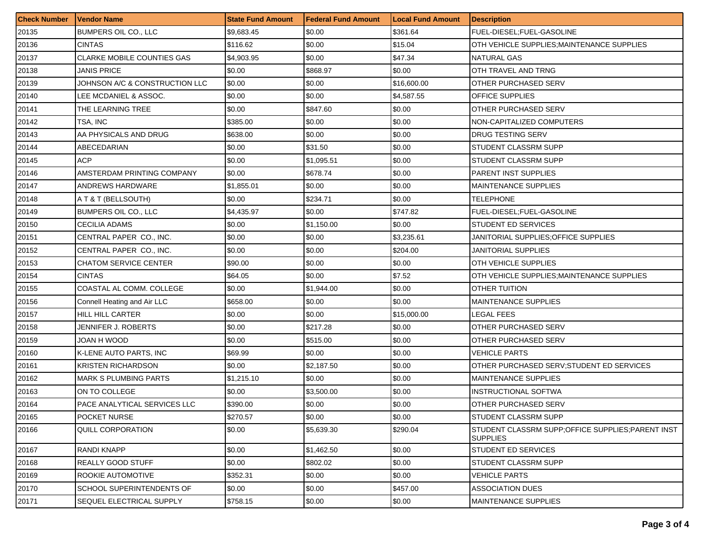| <b>Check Number</b> | <b>Vendor Name</b>                | <b>State Fund Amount</b> | <b>Federal Fund Amount</b> | <b>Local Fund Amount</b> | <b>Description</b>                                                    |
|---------------------|-----------------------------------|--------------------------|----------------------------|--------------------------|-----------------------------------------------------------------------|
| 20135               | BUMPERS OIL CO., LLC              | \$9,683.45               | \$0.00                     | \$361.64                 | FUEL-DIESEL;FUEL-GASOLINE                                             |
| 20136               | <b>CINTAS</b>                     | \$116.62                 | \$0.00                     | \$15.04                  | OTH VEHICLE SUPPLIES:MAINTENANCE SUPPLIES                             |
| 20137               | <b>CLARKE MOBILE COUNTIES GAS</b> | \$4.903.95               | \$0.00                     | \$47.34                  | NATURAL GAS                                                           |
| 20138               | JANIS PRICE                       | \$0.00                   | \$868.97                   | \$0.00                   | OTH TRAVEL AND TRNG                                                   |
| 20139               | JOHNSON A/C & CONSTRUCTION LLC    | \$0.00                   | \$0.00                     | \$16,600.00              | OTHER PURCHASED SERV                                                  |
| 20140               | LEE MCDANIEL & ASSOC.             | \$0.00                   | \$0.00                     | \$4,587.55               | OFFICE SUPPLIES                                                       |
| 20141               | THE LEARNING TREE                 | \$0.00                   | \$847.60                   | \$0.00                   | OTHER PURCHASED SERV                                                  |
| 20142               | TSA, INC                          | \$385.00                 | \$0.00                     | \$0.00                   | NON-CAPITALIZED COMPUTERS                                             |
| 20143               | AA PHYSICALS AND DRUG             | \$638.00                 | \$0.00                     | \$0.00                   | DRUG TESTING SERV                                                     |
| 20144               | ABECEDARIAN                       | \$0.00                   | \$31.50                    | \$0.00                   | STUDENT CLASSRM SUPP                                                  |
| 20145               | ACP                               | \$0.00                   | \$1,095.51                 | \$0.00                   | STUDENT CLASSRM SUPP                                                  |
| 20146               | AMSTERDAM PRINTING COMPANY        | \$0.00                   | \$678.74                   | \$0.00                   | PARENT INST SUPPLIES                                                  |
| 20147               | ANDREWS HARDWARE                  | \$1,855.01               | \$0.00                     | \$0.00                   | <b>MAINTENANCE SUPPLIES</b>                                           |
| 20148               | A T & T (BELLSOUTH)               | \$0.00                   | \$234.71                   | \$0.00                   | TELEPHONE                                                             |
| 20149               | BUMPERS OIL CO., LLC              | \$4,435.97               | \$0.00                     | \$747.82                 | FUEL-DIESEL;FUEL-GASOLINE                                             |
| 20150               | CECILIA ADAMS                     | \$0.00                   | \$1,150.00                 | \$0.00                   | STUDENT ED SERVICES                                                   |
| 20151               | CENTRAL PAPER CO., INC.           | \$0.00                   | \$0.00                     | \$3,235.61               | JANITORIAL SUPPLIES:OFFICE SUPPLIES                                   |
| 20152               | CENTRAL PAPER CO., INC.           | \$0.00                   | \$0.00                     | \$204.00                 | <b>JANITORIAL SUPPLIES</b>                                            |
| 20153               | <b>CHATOM SERVICE CENTER</b>      | \$90.00                  | \$0.00                     | \$0.00                   | OTH VEHICLE SUPPLIES                                                  |
| 20154               | <b>CINTAS</b>                     | \$64.05                  | \$0.00                     | \$7.52                   | OTH VEHICLE SUPPLIES; MAINTENANCE SUPPLIES                            |
| 20155               | COASTAL AL COMM. COLLEGE          | \$0.00                   | \$1,944.00                 | \$0.00                   | OTHER TUITION                                                         |
| 20156               | Connell Heating and Air LLC       | \$658.00                 | \$0.00                     | \$0.00                   | MAINTENANCE SUPPLIES                                                  |
| 20157               | HILL HILL CARTER                  | \$0.00                   | \$0.00                     | \$15,000.00              | LEGAL FEES                                                            |
| 20158               | JENNIFER J. ROBERTS               | \$0.00                   | \$217.28                   | \$0.00                   | OTHER PURCHASED SERV                                                  |
| 20159               | JOAN H WOOD                       | \$0.00                   | \$515.00                   | \$0.00                   | OTHER PURCHASED SERV                                                  |
| 20160               | K-LENE AUTO PARTS, INC            | \$69.99                  | \$0.00                     | \$0.00                   | VEHICLE PARTS                                                         |
| 20161               | <b>KRISTEN RICHARDSON</b>         | \$0.00                   | \$2,187.50                 | \$0.00                   | OTHER PURCHASED SERV; STUDENT ED SERVICES                             |
| 20162               | <b>MARK S PLUMBING PARTS</b>      | \$1,215.10               | \$0.00                     | \$0.00                   | MAINTENANCE SUPPLIES                                                  |
| 20163               | ON TO COLLEGE                     | \$0.00                   | \$3,500.00                 | \$0.00                   | <b>INSTRUCTIONAL SOFTWA</b>                                           |
| 20164               | PACE ANALYTICAL SERVICES LLC      | \$390.00                 | \$0.00                     | \$0.00                   | OTHER PURCHASED SERV                                                  |
| 20165               | POCKET NURSE                      | \$270.57                 | \$0.00                     | \$0.00                   | STUDENT CLASSRM SUPP                                                  |
| 20166               | <b>QUILL CORPORATION</b>          | \$0.00                   | \$5,639.30                 | \$290.04                 | STUDENT CLASSRM SUPP; OFFICE SUPPLIES; PARENT INST<br><b>SUPPLIES</b> |
| 20167               | <b>RANDI KNAPP</b>                | \$0.00                   | \$1,462.50                 | \$0.00                   | STUDENT ED SERVICES                                                   |
| 20168               | REALLY GOOD STUFF                 | \$0.00                   | \$802.02                   | \$0.00                   | STUDENT CLASSRM SUPP                                                  |
| 20169               | ROOKIE AUTOMOTIVE                 | \$352.31                 | \$0.00                     | \$0.00                   | <b>VEHICLE PARTS</b>                                                  |
| 20170               | SCHOOL SUPERINTENDENTS OF         | \$0.00                   | \$0.00                     | \$457.00                 | ASSOCIATION DUES                                                      |
| 20171               | SEQUEL ELECTRICAL SUPPLY          | \$758.15                 | \$0.00                     | \$0.00                   | <b>MAINTENANCE SUPPLIES</b>                                           |